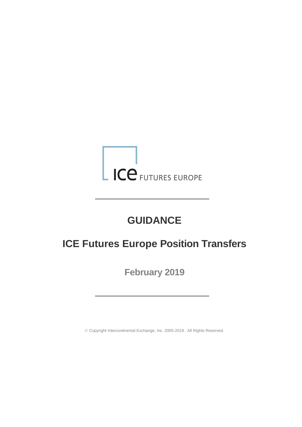

# **GUIDANCE**

# **ICE Futures Europe Position Transfers**

**February 2019**

Copyright Intercontinental Exchange, Inc. 2005-2019. All Rights Reserved.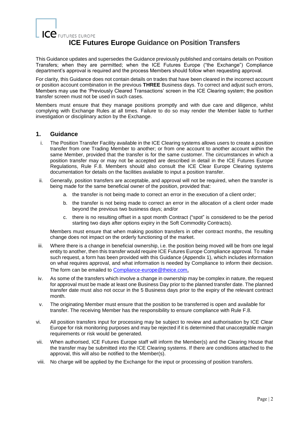

This Guidance updates and supersedes the Guidance previously published and contains details on Position Transfers; when they are permitted; when the ICE Futures Europe ("the Exchange") Compliance department's approval is required and the process Members should follow when requesting approval.

For clarity, this Guidance does not contain details on trades that have been cleared in the incorrect account or position account combination in the previous **THREE** Business days. To correct and adjust such errors, Members may use the 'Previously Cleared Transactions' screen in the ICE Clearing system; the position transfer screen must not be used in such cases.

Members must ensure that they manage positions promptly and with due care and diligence, whilst complying with Exchange Rules at all times. Failure to do so may render the Member liable to further investigation or disciplinary action by the Exchange.

## **1. Guidance**

- i. The Position Transfer Facility available in the ICE Clearing systems allows users to create a position transfer from one Trading Member to another; or from one account to another account within the same Member, provided that the transfer is for the same customer. The circumstances in which a position transfer may or may not be accepted are described in detail in the ICE Futures Europe Regulations, Rule F.8. Members should also consult the ICE Clear Europe Clearing systems documentation for details on the facilities available to input a position transfer.
- ii. Generally, position transfers are acceptable, and approval will not be required, when the transfer is being made for the same beneficial owner of the position, provided that:
	- a. the transfer is not being made to correct an error in the execution of a client order;
	- b. the transfer is not being made to correct an error in the allocation of a client order made beyond the previous two business days; and/or
	- c. there is no resulting offset in a spot month Contract ("spot" is considered to be the period starting two days after options expiry in the Soft Commodity Contracts).

Members must ensure that when making position transfers in other contract months, the resulting change does not impact on the orderly functioning of the market.

- iii. Where there is a change in beneficial ownership, i.e. the position being moved will be from one legal entity to another, then this transfer would require ICE Futures Europe Compliance approval. To make such request, a form has been provided with this Guidance (Appendix 1), which includes information on what requires approval, and what information is needed by Compliance to inform their decision. The form can be emailed to [Compliance-europe@theice.com](mailto:Compliance-europe@theice.com).
- iv. As some of the transfers which involve a change in ownership may be complex in nature, the request for approval must be made at least one Business Day prior to the planned transfer date. The planned transfer date must also not occur in the 5 Business days prior to the expiry of the relevant contract month.
- v. The originating Member must ensure that the position to be transferred is open and available for transfer. The receiving Member has the responsibility to ensure compliance with Rule F.8.
- vi. All position transfers input for processing may be subject to review and authorisation by ICE Clear Europe for risk monitoring purposes and may be rejected if it is determined that unacceptable margin requirements or risk would be generated.
- vii. When authorised, ICE Futures Europe staff will inform the Member(s) and the Clearing House that the transfer may be submitted into the ICE Clearing systems. If there are conditions attached to the approval, this will also be notified to the Member(s).
- viii. No charge will be applied by the Exchange for the input or processing of position transfers.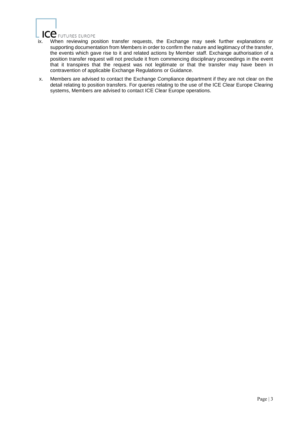

- **ICO** FUTURES EUROPE<br>ix. When reviewing position transfer requests, the Exchange may seek further explanations or supporting documentation from Members in order to confirm the nature and legitimacy of the transfer, the events which gave rise to it and related actions by Member staff. Exchange authorisation of a position transfer request will not preclude it from commencing disciplinary proceedings in the event that it transpires that the request was not legitimate or that the transfer may have been in contravention of applicable Exchange Regulations or Guidance.
- x. Members are advised to contact the Exchange Compliance department if they are not clear on the detail relating to position transfers. For queries relating to the use of the ICE Clear Europe Clearing systems, Members are advised to contact ICE Clear Europe operations.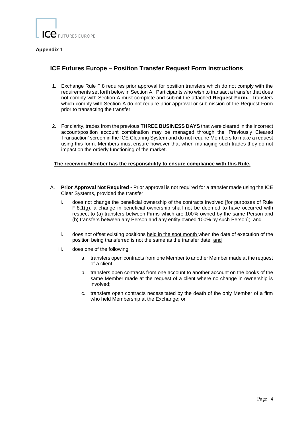

## **Appendix 1**

## **ICE Futures Europe – Position Transfer Request Form Instructions**

- 1. Exchange Rule F.8 requires prior approval for position transfers which do not comply with the requirements set forth below in Section A. Participants who wish to transact a transfer that does not comply with Section A must complete and submit the attached **Request Form.** Transfers which comply with Section A do not require prior approval or submission of the Request Form prior to transacting the transfer.
- 2. For clarity, trades from the previous **THREE BUSINESS DAYS** that were cleared in the incorrect account/position account combination may be managed through the 'Previously Cleared Transaction' screen in the ICE Clearing System and do not require Members to make a request using this form. Members must ensure however that when managing such trades they do not impact on the orderly functioning of the market.

### **The receiving Member has the responsibility to ensure compliance with this Rule.**

- A. **Prior Approval Not Required -** Prior approval is not required for a transfer made using the ICE Clear Systems, provided the transfer;
	- i. does not change the beneficial ownership of the contracts involved [for purposes of Rule F.8.1(g), a change in beneficial ownership shall not be deemed to have occurred with respect to (a) transfers between Firms which are 100% owned by the same Person and (b) transfers between any Person and any entity owned 100% by such Person]; and
	- ii. does not offset existing positions held in the spot month when the date of execution of the position being transferred is not the same as the transfer date; and
	- iii. does one of the following:
		- a. transfers open contracts from one Member to another Member made at the request of a client;
		- b. transfers open contracts from one account to another account on the books of the same Member made at the request of a client where no change in ownership is involved;
		- c. transfers open contracts necessitated by the death of the only Member of a firm who held Membership at the Exchange; or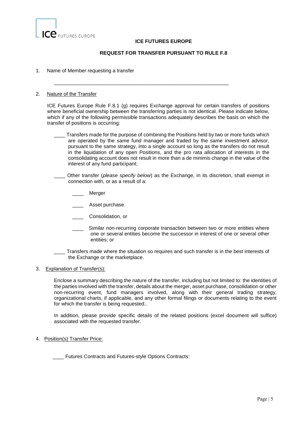

### **REQUEST FOR TRANSFER PURSUANT TO RULE F.8**

1. Name of Member requesting a transfer

#### 2. Nature of the Transfer

ICE FUTURES EUROPE

ICE Futures Europe Rule F.8.1 (g) requires Exchange approval for certain transfers of positions where beneficial ownership between the transferring parties is not identical. Please indicate below, which if any of the following permissible transactions adequately describes the basis on which the transfer of positions is occurring:

\_\_\_\_\_\_\_\_\_\_\_\_\_\_\_\_\_\_\_\_\_\_\_\_\_\_\_\_\_\_\_\_\_\_\_\_\_\_\_\_\_\_\_\_\_\_\_\_\_\_\_\_\_\_\_\_\_\_\_\_\_\_

- \_\_\_\_ Transfers made for the purpose of combining the Positions held by two or more funds which are operated by the same fund manager and traded by the same investment advisor, pursuant to the same strategy, into a single account so long as the transfers do not result in the liquidation of any open Positions, and the pro rata allocation of interests in the consolidating account does not result in more than a de minimis change in the value of the interest of any fund participant;
- \_\_\_\_ Other transfer (*please specify below*) as the Exchange, in its discretion, shall exempt in connection with, or as a result of a:
	- \_\_\_\_ Merger
	- \_\_\_\_ Asset purchase
	- \_\_\_\_ Consolidation, or
	- Similar non-recurring corporate transaction between two or more entities where one or several entities become the successor in interest of one or several other entities; or
- Transfers made where the situation so requires and such transfer is in the best interests of the Exchange or the marketplace.
- 3. Explanation of Transfer(s):

Enclose a summary describing the nature of the transfer, including but not limited to: the identities of the parties involved with the transfer, details about the merger, asset purchase, consolidation or other non-recurring event, fund managers involved, along with their general trading strategy, organizational charts, if applicable, and any other formal filings or documents relating to the event for which the transfer is being requested..

In addition, please provide specific details of the related positions (excel document will suffice) associated with the requested transfer.

4. Position(s) Transfer Price:

\_\_\_\_ Futures Contracts and Futures-style Options Contracts: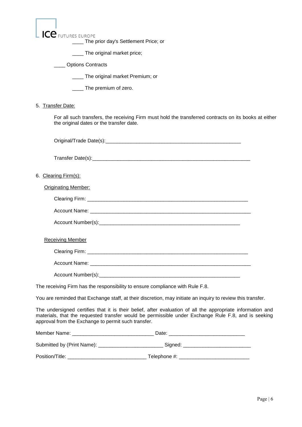| ICE FUTURES EUROPE                                                                                                                                                                                                                                                       |
|--------------------------------------------------------------------------------------------------------------------------------------------------------------------------------------------------------------------------------------------------------------------------|
| ____ The prior day's Settlement Price; or                                                                                                                                                                                                                                |
| _____ The original market price;                                                                                                                                                                                                                                         |
| Options Contracts                                                                                                                                                                                                                                                        |
| ____ The original market Premium; or                                                                                                                                                                                                                                     |
| The premium of zero.                                                                                                                                                                                                                                                     |
| 5. Transfer Date:                                                                                                                                                                                                                                                        |
| For all such transfers, the receiving Firm must hold the transferred contracts on its books at either<br>the original dates or the transfer date.                                                                                                                        |
|                                                                                                                                                                                                                                                                          |
|                                                                                                                                                                                                                                                                          |
| 6. Clearing Firm(s):                                                                                                                                                                                                                                                     |
| <b>Originating Member:</b>                                                                                                                                                                                                                                               |
|                                                                                                                                                                                                                                                                          |
|                                                                                                                                                                                                                                                                          |
|                                                                                                                                                                                                                                                                          |
| <b>Receiving Member</b>                                                                                                                                                                                                                                                  |
|                                                                                                                                                                                                                                                                          |
|                                                                                                                                                                                                                                                                          |
|                                                                                                                                                                                                                                                                          |
| The receiving Firm has the responsibility to ensure compliance with Rule F.8.                                                                                                                                                                                            |
| You are reminded that Exchange staff, at their discretion, may initiate an inquiry to review this transfer.                                                                                                                                                              |
| The undersigned certifies that it is their belief, after evaluation of all the appropriate information and<br>materials, that the requested transfer would be permissible under Exchange Rule F.8, and is seeking<br>approval from the Exchange to permit such transfer. |
|                                                                                                                                                                                                                                                                          |
| Submitted by (Print Name): ________________________________Signed: ________________________________                                                                                                                                                                      |
|                                                                                                                                                                                                                                                                          |

Î.